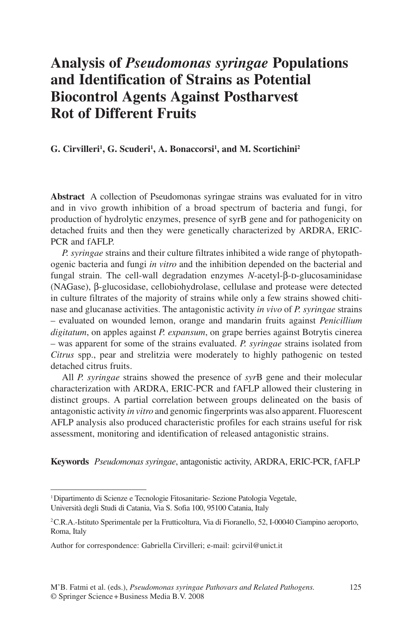# **Analysis of** *Pseudomonas syringae* **Populations and Identification of Strains as Potential Biocontrol Agents Against Postharvest Rot of Different Fruits**

#### **G. Cirvilleri1 , G. Scuderi1 , A. Bonaccorsi1 , and M. Scortichini2**

**Abstract** A collection of Pseudomonas syringae strains was evaluated for in vitro and in vivo growth inhibition of a broad spectrum of bacteria and fungi, for production of hydrolytic enzymes, presence of syrB gene and for pathogenicity on detached fruits and then they were genetically characterized by ARDRA, ERIC-PCR and fAFLP.

*P. syringae* strains and their culture filtrates inhibited a wide range of phytopathogenic bacteria and fungi *in vitro* and the inhibition depended on the bacterial and fungal strain. The cell-wall degradation enzymes *N*-acetyl-β-D-glucosaminidase (NAGase), β-glucosidase, cellobiohydrolase, cellulase and protease were detected in culture filtrates of the majority of strains while only a few strains showed chitinase and glucanase activities. The antagonistic activity *in vivo* of *P. syringae* strains – evaluated on wounded lemon, orange and mandarin fruits against *Penicillium digitatum*, on apples against *P. expansum*, on grape berries against Botrytis cinerea – was apparent for some of the strains evaluated. *P. syringae* strains isolated from *Citrus* spp., pear and strelitzia were moderately to highly pathogenic on tested detached citrus fruits.

All *P. syringae* strains showed the presence of *syr*B gene and their molecular characterization with ARDRA, ERIC-PCR and fAFLP allowed their clustering in distinct groups. A partial correlation between groups delineated on the basis of antagonistic activity *in vitro* and genomic fingerprints was also apparent. Fluorescent AFLP analysis also produced characteristic profiles for each strains useful for risk assessment, monitoring and identification of released antagonistic strains.

**Keywords** *Pseudomonas syringae*, antagonistic activity, ARDRA, ERIC-PCR, fAFLP

<sup>1</sup> Dipartimento di Scienze e Tecnologie Fitosanitarie- Sezione Patologia Vegetale, Università degli Studi di Catania, Via S. Sofia 100, 95100 Catania, Italy

<sup>2</sup> C.R.A.-Istituto Sperimentale per la Frutticoltura, Via di Fioranello, 52, I-00040 Ciampino aeroporto, Roma, Italy

Author for correspondence: Gabriella Cirvilleri; e-mail: gcirvil@unict.it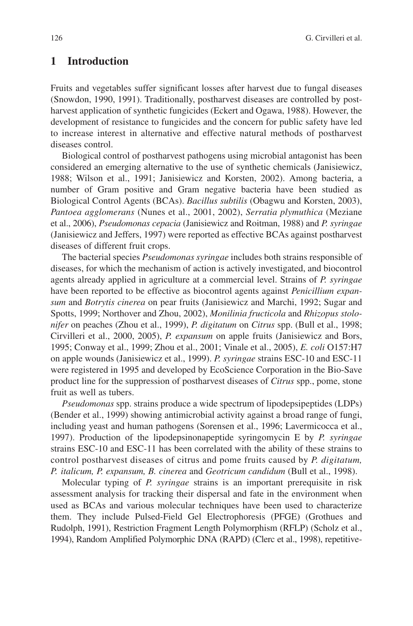#### **1 Introduction**

Fruits and vegetables suffer significant losses after harvest due to fungal diseases (Snowdon, 1990, 1991). Traditionally, postharvest diseases are controlled by postharvest application of synthetic fungicides (Eckert and Ogawa, 1988). However, the development of resistance to fungicides and the concern for public safety have led to increase interest in alternative and effective natural methods of postharvest diseases control.

Biological control of postharvest pathogens using microbial antagonist has been considered an emerging alternative to the use of synthetic chemicals (Janisiewicz, 1988; Wilson et al., 1991; Janisiewicz and Korsten, 2002). Among bacteria, a number of Gram positive and Gram negative bacteria have been studied as Biological Control Agents (BCAs). *Bacillus subtilis* (Obagwu and Korsten, 2003), *Pantoea agglomerans* (Nunes et al., 2001, 2002), *Serratia plymuthica* (Meziane et al., 2006), *Pseudomonas cepacia* (Janisiewicz and Roitman, 1988) and *P. syringae* (Janisiewicz and Jeffers, 1997) were reported as effective BCAs against postharvest diseases of different fruit crops.

The bacterial species *Pseudomonas syringae* includes both strains responsible of diseases, for which the mechanism of action is actively investigated, and biocontrol agents already applied in agriculture at a commercial level. Strains of *P. syringae* have been reported to be effective as biocontrol agents against *Penicillium expansum* and *Botrytis cinerea* on pear fruits (Janisiewicz and Marchi, 1992; Sugar and Spotts, 1999; Northover and Zhou, 2002), *Monilinia fructicola* and *Rhizopus stolonifer* on peaches (Zhou et al., 1999), *P. digitatum* on *Citrus* spp. (Bull et al., 1998; Cirvilleri et al., 2000, 2005), *P. expansum* on apple fruits (Janisiewicz and Bors, 1995; Conway et al., 1999; Zhou et al., 2001; Vinale et al., 2005), *E. coli* O157:H7 on apple wounds (Janisiewicz et al., 1999). *P. syringae* strains ESC-10 and ESC-11 were registered in 1995 and developed by EcoScience Corporation in the Bio-Save product line for the suppression of postharvest diseases of *Citrus* spp., pome, stone fruit as well as tubers.

*Pseudomonas* spp. strains produce a wide spectrum of lipodepsipeptides (LDPs) (Bender et al., 1999) showing antimicrobial activity against a broad range of fungi, including yeast and human pathogens (Sorensen et al., 1996; Lavermicocca et al., 1997). Production of the lipodepsinonapeptide syringomycin E by *P. syringae* strains ESC-10 and ESC-11 has been correlated with the ability of these strains to control postharvest diseases of citrus and pome fruits caused by *P. digitatum, P. italicum, P. expansum, B. cinerea* and *Geotricum candidum* (Bull et al., 1998).

Molecular typing of *P. syringae* strains is an important prerequisite in risk assessment analysis for tracking their dispersal and fate in the environment when used as BCAs and various molecular techniques have been used to characterize them. They include Pulsed-Field Gel Electrophoresis (PFGE) (Grothues and Rudolph, 1991), Restriction Fragment Length Polymorphism (RFLP) (Scholz et al., 1994), Random Amplified Polymorphic DNA (RAPD) (Clerc et al., 1998), repetitive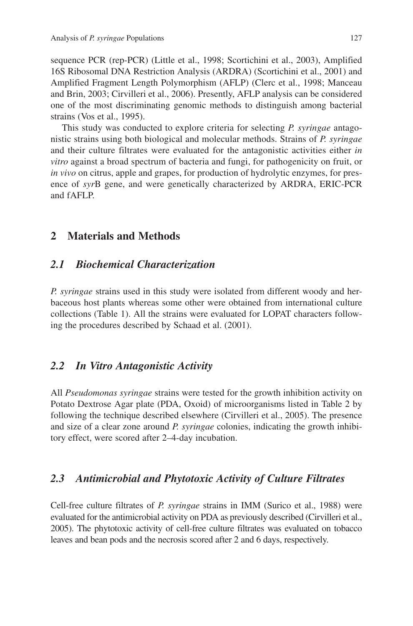sequence PCR (rep-PCR) (Little et al., 1998; Scortichini et al., 2003), Amplified 16S Ribosomal DNA Restriction Analysis (ARDRA) (Scortichini et al., 2001) and Amplified Fragment Length Polymorphism (AFLP) (Clerc et al., 1998; Manceau and Brin, 2003; Cirvilleri et al., 2006). Presently, AFLP analysis can be considered one of the most discriminating genomic methods to distinguish among bacterial strains (Vos et al., 1995).

This study was conducted to explore criteria for selecting *P. syringae* antagonistic strains using both biological and molecular methods. Strains of *P. syringae* and their culture filtrates were evaluated for the antagonistic activities either *in vitro* against a broad spectrum of bacteria and fungi, for pathogenicity on fruit, or *in vivo* on citrus, apple and grapes, for production of hydrolytic enzymes, for presence of *syr*B gene, and were genetically characterized by ARDRA, ERIC-PCR and fAFLP.

# **2 Materials and Methods**

## *2.1 Biochemical Characterization*

*P. syringae* strains used in this study were isolated from different woody and herbaceous host plants whereas some other were obtained from international culture collections (Table 1). All the strains were evaluated for LOPAT characters following the procedures described by Schaad et al. (2001).

# *2.2 In Vitro Antagonistic Activity*

All *Pseudomonas syringae* strains were tested for the growth inhibition activity on Potato Dextrose Agar plate (PDA, Oxoid) of microorganisms listed in Table 2 by following the technique described elsewhere (Cirvilleri et al., 2005). The presence and size of a clear zone around *P. syringae* colonies, indicating the growth inhibitory effect, were scored after 2–4-day incubation.

# *2.3 Antimicrobial and Phytotoxic Activity of Culture Filtrates*

Cell-free culture filtrates of *P. syringae* strains in IMM (Surico et al., 1988) were evaluated for the antimicrobial activity on PDA as previously described (Cirvilleri et al., 2005). The phytotoxic activity of cell-free culture filtrates was evaluated on tobacco leaves and bean pods and the necrosis scored after 2 and 6 days, respectively.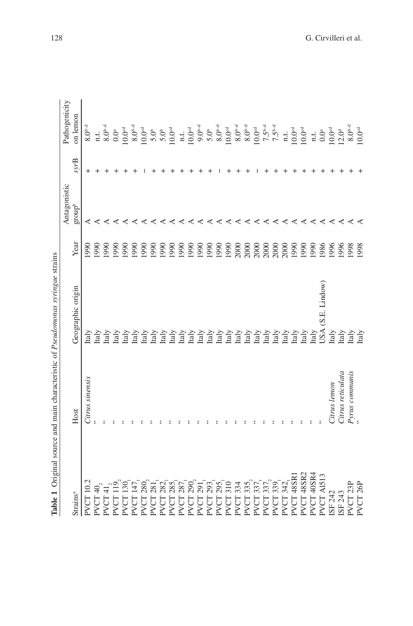|                                      |                     | Table 1 Original source and main characteristic of Pseudomonas syringae strains |              |                    |      |                                                                                                                                                                                                                                                                                                                                                                                                             |
|--------------------------------------|---------------------|---------------------------------------------------------------------------------|--------------|--------------------|------|-------------------------------------------------------------------------------------------------------------------------------------------------------------------------------------------------------------------------------------------------------------------------------------------------------------------------------------------------------------------------------------------------------------|
|                                      |                     |                                                                                 |              | Antagonistic       |      | Pathogenicity                                                                                                                                                                                                                                                                                                                                                                                               |
| Strains <sup>a</sup>                 | Host                | Geographic origin                                                               | Year         | group <sup>b</sup> | syrB | on lemon                                                                                                                                                                                                                                                                                                                                                                                                    |
| <b>PVCT 10.2</b>                     | Citrus sinensis     | Italy                                                                           | 0661         |                    |      | 8.0 <sup>b</sup>                                                                                                                                                                                                                                                                                                                                                                                            |
| 40 <sub>2</sub><br>PVCT-             |                     | taly                                                                            | 990          | ∢ ∢                |      |                                                                                                                                                                                                                                                                                                                                                                                                             |
| $\rm{PVCT}$ 41 $_2$                  |                     |                                                                                 | 990          |                    |      |                                                                                                                                                                                                                                                                                                                                                                                                             |
| PVCT119                              |                     |                                                                                 | 0661         |                    |      |                                                                                                                                                                                                                                                                                                                                                                                                             |
| $\overline{30}$<br>PVCT <sub>1</sub> |                     |                                                                                 | 0661         |                    |      |                                                                                                                                                                                                                                                                                                                                                                                                             |
| 147<br>PVCT <sub>1</sub>             |                     |                                                                                 | 0661         |                    |      |                                                                                                                                                                                                                                                                                                                                                                                                             |
| 280<br>PVCT?                         |                     |                                                                                 | 1990         |                    |      | $\begin{array}{l} \frac{1}{2} & \frac{1}{2} & \frac{1}{2} & \frac{1}{2} & \frac{1}{2} & \frac{1}{2} \\ \frac{1}{2} & \frac{1}{2} & \frac{1}{2} & \frac{1}{2} & \frac{1}{2} & \frac{1}{2} & \frac{1}{2} \\ \frac{1}{2} & \frac{1}{2} & \frac{1}{2} & \frac{1}{2} & \frac{1}{2} & \frac{1}{2} & \frac{1}{2} & \frac{1}{2} \\ \frac{1}{2} & \frac{1}{2} & \frac{1}{2} & \frac{1}{2} & \frac{1}{2} & \frac{1}{$ |
| 281<br>PVCT?                         |                     |                                                                                 | 1990         |                    |      |                                                                                                                                                                                                                                                                                                                                                                                                             |
| PVCT:                                |                     |                                                                                 | 0661         |                    |      |                                                                                                                                                                                                                                                                                                                                                                                                             |
| 285<br>PVCT                          |                     |                                                                                 | 0661         |                    |      |                                                                                                                                                                                                                                                                                                                                                                                                             |
| 287<br>PVCT?                         |                     |                                                                                 | 1990         |                    |      |                                                                                                                                                                                                                                                                                                                                                                                                             |
| PVCT <sub>290</sub>                  |                     |                                                                                 | 1990         |                    |      |                                                                                                                                                                                                                                                                                                                                                                                                             |
| 291<br>PVCT <sup>2</sup>             |                     |                                                                                 | 1990         |                    |      |                                                                                                                                                                                                                                                                                                                                                                                                             |
| 293<br>PVCT <sub>2</sub>             |                     |                                                                                 | 1990         |                    |      |                                                                                                                                                                                                                                                                                                                                                                                                             |
| 295<br>PVCT?                         |                     |                                                                                 | 1990         |                    |      |                                                                                                                                                                                                                                                                                                                                                                                                             |
| <b>PVCT310</b>                       |                     |                                                                                 | 1990<br>2000 |                    |      |                                                                                                                                                                                                                                                                                                                                                                                                             |
| 334<br>PVCT <sup>2</sup>             |                     |                                                                                 |              |                    |      |                                                                                                                                                                                                                                                                                                                                                                                                             |
| 335,<br>PVCT:                        |                     |                                                                                 | 2000         |                    |      |                                                                                                                                                                                                                                                                                                                                                                                                             |
| PVCT 337                             |                     |                                                                                 |              |                    |      |                                                                                                                                                                                                                                                                                                                                                                                                             |
| PVCT 337                             |                     |                                                                                 |              |                    |      |                                                                                                                                                                                                                                                                                                                                                                                                             |
| PVCT 339                             |                     |                                                                                 |              |                    |      |                                                                                                                                                                                                                                                                                                                                                                                                             |
| <b>PVCT 342</b>                      |                     | Italy                                                                           |              |                    |      |                                                                                                                                                                                                                                                                                                                                                                                                             |
| PVCT <sub>48SR</sub>                 |                     |                                                                                 | 1990         |                    |      |                                                                                                                                                                                                                                                                                                                                                                                                             |
| <b>PVCT 48SR2</b>                    |                     | taly<br>taly<br>taly                                                            | 1990         |                    |      |                                                                                                                                                                                                                                                                                                                                                                                                             |
| PVCT40SR4                            |                     |                                                                                 | 1990         |                    |      |                                                                                                                                                                                                                                                                                                                                                                                                             |
| <b>PVCT AIS13</b>                    |                     | USA (S.E. Lindow)                                                               | 1986         |                    |      |                                                                                                                                                                                                                                                                                                                                                                                                             |
| ISF 242                              | Citrus lemon        | Italy                                                                           | 1996         |                    |      |                                                                                                                                                                                                                                                                                                                                                                                                             |
| ISF 243                              | Citrus reticulata   | Italy                                                                           | 1996         |                    |      |                                                                                                                                                                                                                                                                                                                                                                                                             |
| PVCT <sub>23</sub> P                 | Pyrus communis<br>" | Italy                                                                           | 1998<br>1998 |                    |      |                                                                                                                                                                                                                                                                                                                                                                                                             |
| PVCT <sub>26P</sub>                  |                     | Italy                                                                           |              |                    |      |                                                                                                                                                                                                                                                                                                                                                                                                             |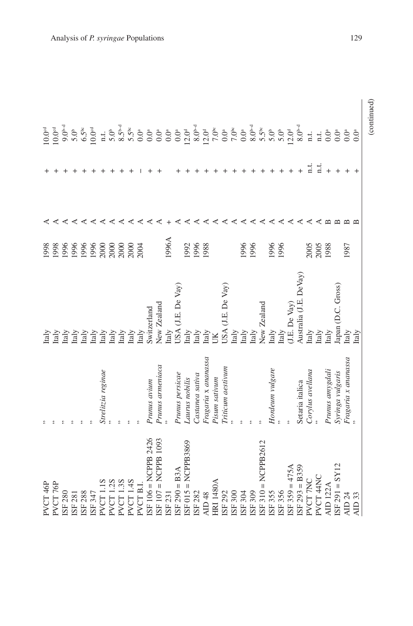| PVCT <sub>46P</sub>    |                     | Italy                  | 1998             |    | 10.0 <sup>cd</sup>                                  |
|------------------------|---------------------|------------------------|------------------|----|-----------------------------------------------------|
| PVCT <sub>76</sub> P   |                     | Italy                  | 1998             |    | $10.0^\text{cd}$                                    |
| ISF 280                |                     | Italy                  | 1996             |    | $9.0^{b-d}$                                         |
| ISF 281                |                     | Italy                  | 1996             |    | $5.0^{\circ}$                                       |
| ISF 288                |                     | Italy                  | 1996<br>1996     |    | $6.5^{\circ}$<br>10.0ed                             |
| ISF 347                |                     | Italy                  |                  |    |                                                     |
| PVCT1.1S               | Strelitzia reginae  | Italy                  | 2000             |    | n.t.                                                |
| <b>PVCT1.2S</b>        |                     | Italy                  | 2000             |    |                                                     |
| PVCT <sub>1.3S</sub>   |                     | Italy                  |                  |    |                                                     |
| <b>PVCT1.4S</b>        |                     | Italy                  | $2000$<br>$2004$ |    |                                                     |
| PVCT B.I               |                     | Italy                  |                  |    |                                                     |
| ISF $106$ = NCPPB 2426 | Prunus avium        | Switzerland            |                  |    |                                                     |
| ISF $107 = NCPPB$ 1093 | Prunus armeniaca    | New Zealand            |                  |    |                                                     |
| ISF 231                |                     | Italy                  | 1996A            |    |                                                     |
| $IST 290 = B3A$        | Prunus persicae     | USA (J.E. De Vay)      |                  |    |                                                     |
| ISF $015 = NCPPB3869$  | Laurus nobilis      | Italy                  | 1992             |    |                                                     |
| ISF 282                | Castanea sativa     | Italy                  | 1996<br>1988     |    |                                                     |
| AID <sub>48</sub>      | Fragaria x ananassa | Italy                  |                  |    |                                                     |
| <b>HRI 1480A</b>       | Pisum sativum       | ŬK                     |                  |    |                                                     |
| ISF 292                | Triticum ae stivum  | USA (J.E. De Vay)      |                  |    |                                                     |
| ISF 300                |                     | Italy                  |                  |    |                                                     |
| ISF 304                |                     | Italy                  | 1996             |    |                                                     |
| ISF 309                |                     | Italy                  | 1996             |    |                                                     |
| ISF 310 = $NCPB2612$   |                     | New Zealand            |                  |    |                                                     |
| ISF 355                | Hordeum vulgare     | Italy                  | 1996             |    |                                                     |
| ISF 356                |                     | Italy                  | 1996             |    | $5.0^{\circ}$                                       |
| $IST 359 = 475A$       |                     | (J.E. De Vay)          |                  |    |                                                     |
| $ISF 293 = B359$       | Setaria italica     | Australia (J.E. DeVay) |                  |    | $12.0^{d}$<br>8.0 <sup>b-d</sup>                    |
| PVCT 7NC               | Corylus avellana    | Italy                  | 2005             | i. | n.t.                                                |
| PVCT <sub>44NC</sub>   |                     | Italy                  | 2005<br>1988     | d. | n.t.                                                |
| <b>AID 122A</b>        | Prunus amygdali     | Italy                  |                  |    | $0.0^{\rm a}$                                       |
| $ISF 291 = SY12$       | Syringa vulgaris    | Japan (D.C. Gross)     |                  |    |                                                     |
| AID <sub>24</sub>      | Fragaria x ananassa | Italy                  | 1987             |    | $\begin{array}{c}\n 6 \\ 0 \\ 0 \\ 0\n \end{array}$ |
| AID <sub>33</sub>      |                     | taly                   |                  |    |                                                     |
|                        |                     |                        |                  |    |                                                     |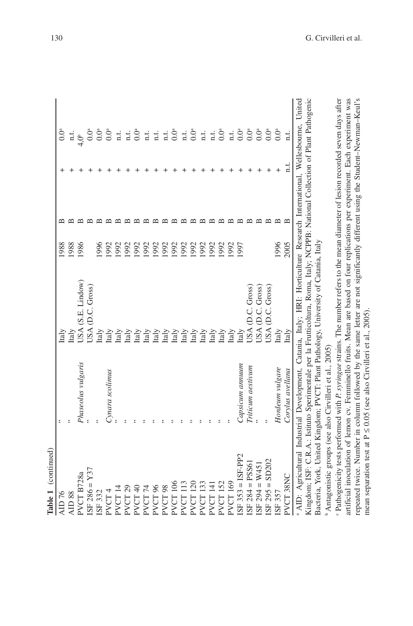| Table 1 (continued) |                                                                                                                                    |                         |      |   |      |                               |
|---------------------|------------------------------------------------------------------------------------------------------------------------------------|-------------------------|------|---|------|-------------------------------|
| AID 76              |                                                                                                                                    | taly                    | 988  |   |      | $0.0^{\circ}$                 |
| <b>AID 88</b>       |                                                                                                                                    | taly                    | 1988 |   |      | n.t.                          |
| PVCT B728a          | Phaseolus vulgaris                                                                                                                 | JSA (S.E. Lindow)       | 1986 |   |      | $4,0^{\circ}$                 |
| $ISF 286 = Y37$     |                                                                                                                                    | JSA (D.C. Gross)        |      |   |      | $\ddot{\mathrm{o}}$           |
| ISF 332             |                                                                                                                                    | taly                    | 996  |   |      | $\ddot{0}$ .                  |
| PVCT <sub>4</sub>   | Cynara scolimus                                                                                                                    | Italy                   | 1992 |   |      | $0.0^\circ$                   |
| PVCT <sub>14</sub>  |                                                                                                                                    | Italy                   | 1992 |   |      | n.t.                          |
| PVCT <sub>29</sub>  |                                                                                                                                    |                         | 1992 |   |      | n.t.                          |
| PVCT 40             |                                                                                                                                    | Italy<br>Italy          | 1992 |   |      | $0.0^\circ$                   |
| PVCT <sub>74</sub>  |                                                                                                                                    | Italy                   | 1992 |   |      | n.t.                          |
| PVCT 96             |                                                                                                                                    | Italy                   | 1992 |   |      | n.t.                          |
| PVCT 98             |                                                                                                                                    |                         | 1992 |   |      | n.t.                          |
| <b>PVCT106</b>      |                                                                                                                                    |                         | 1992 |   |      | $0.0^\circ$                   |
| PVCT 113            |                                                                                                                                    |                         | 1992 |   |      | n.t.                          |
| <b>PVCT120</b>      |                                                                                                                                    | Italy<br>Italy<br>Italy | 1992 |   |      | 0.0 <sup>a</sup>              |
| <b>PVCT</b> 133     |                                                                                                                                    |                         | 1992 |   |      |                               |
| <b>PVCT 141</b>     |                                                                                                                                    | Italy<br>Italy          | 1992 |   |      | $n.t.$<br>$n.t.$<br>$0.0^a$   |
| <b>PVCT 152</b>     |                                                                                                                                    | Italy                   | 1992 |   |      |                               |
| <b>PVCT 169</b>     |                                                                                                                                    | Italy                   | 1992 |   |      | n.t.                          |
| $ISF 353 = ISF-PP2$ | Capsicum annuum                                                                                                                    | Italy                   | 997  |   |      | $0.0^{\circ}$                 |
| $IST 284 = PSS61$   | Triticum aestivum                                                                                                                  | USA (D.C. Gross)        |      |   |      | $0.\overline{0}$ <sup>6</sup> |
| ISF $294 = W451$    |                                                                                                                                    | <b>JSA</b> (D.C. Gross) |      | m |      |                               |
| $ISF 295 = SD202$   |                                                                                                                                    | USA (D.C. Gross)        |      | ≃ |      | $0.0^\circ$                   |
| ISF 357             | Hordeum vulgare                                                                                                                    | Italy                   | 1996 | m |      | $0.0^\circ$                   |
| PVCT 38NC           | Corylus avellana                                                                                                                   | taly                    | 2005 | ≃ | n.t. | n.t.                          |
|                     | AD: Agricultural Industrial Development, Catania, Italy, HRI: Horticulture Research International, Wellesbourne, United            |                         |      |   |      |                               |
|                     | Kingdom; ISF: C.R.A.: Istituto Sperimentale per la Frutticoltura, Roma, Italy; NCPPB: National Collection of Plant Pathogenic      |                         |      |   |      |                               |
|                     | Bacteria, York, United Kingdom; PVCT: Plant Pathology, University of Catania, Italy                                                |                         |      |   |      |                               |
|                     | Antagonistic groups (see also Cirvilleri et al., 2005)                                                                             |                         |      |   |      |                               |
|                     | Pathogenicity tests performed with P. syringae strains. The number refers to the mean diameter of lesion recorded seven days after |                         |      |   |      |                               |
|                     | artificial inoculation of lemon cv. Femminello fruits. Mean are based on four replications per experiment. Each experiment was     |                         |      |   |      |                               |
|                     | repeated twice. Number in column followed by the same letter are not significantly different using the Student-Newman-Keul's       |                         |      |   |      |                               |

mean separation test at  $P \le 0.05$  (see also Cirvilleri et al., 2005). mean separation test at  $P \le 0.05$  (see also Cirvilleri et al., 2005).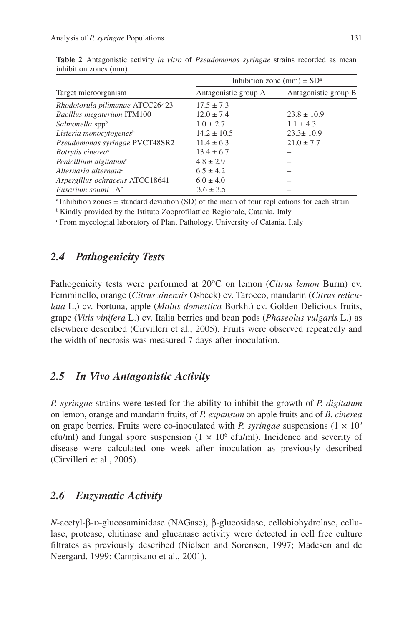|                                     |                      | Inhibition zone (mm) $\pm$ SD <sup>a</sup> |
|-------------------------------------|----------------------|--------------------------------------------|
| Target microorganism                | Antagonistic group A | Antagonistic group B                       |
| Rhodotorula pilimanae ATCC26423     | $17.5 \pm 7.3$       |                                            |
| Bacillus megaterium ITM100          | $12.0 \pm 7.4$       | $23.8 \pm 10.9$                            |
| Salmonella sppb                     | $1.0 \pm 2.7$        | $1.1 \pm 4.3$                              |
| Listeria monocytogenes <sup>b</sup> | $14.2 \pm 10.5$      | $23.3 \pm 10.9$                            |
| Pseudomonas syringae PVCT48SR2      | $11.4 \pm 6.3$       | $21.0 \pm 7.7$                             |
| Botrytis cinereac                   | $13.4 \pm 6.7$       |                                            |
| Penicillium digitatum <sup>c</sup>  | $4.8 \pm 2.9$        |                                            |
| Alternaria alternata <sup>c</sup>   | $6.5 \pm 4.2$        |                                            |
| Aspergillus ochraceus ATCC18641     | $6.0 \pm 4.0$        |                                            |
| Fusarium solani 1A <sup>c</sup>     | $3.6 \pm 3.5$        |                                            |

**Table 2** Antagonistic activity *in vitro* of *Pseudomonas syringae* strains recorded as mean inhibition zones (mm)

<sup>a</sup> Inhibition zones  $\pm$  standard deviation (SD) of the mean of four replications for each strain

b Kindly provided by the Istituto Zooprofilattico Regionale, Catania, Italy

c From mycologial laboratory of Plant Pathology, University of Catania, Italy

## *2.4 Pathogenicity Tests*

Pathogenicity tests were performed at 20°C on lemon (*Citrus lemon* Burm) cv. Femminello, orange (*Citrus sinensis* Osbeck) cv. Tarocco, mandarin (*Citrus reticulata* L.) cv. Fortuna, apple (*Malus domestica* Borkh.) cv. Golden Delicious fruits, grape (*Vitis vinifera* L.) cv. Italia berries and bean pods (*Phaseolus vulgaris* L.) as elsewhere described (Cirvilleri et al., 2005). Fruits were observed repeatedly and the width of necrosis was measured 7 days after inoculation.

## *2.5 In Vivo Antagonistic Activity*

*P. syringae* strains were tested for the ability to inhibit the growth of *P. digitatum* on lemon, orange and mandarin fruits, of *P. expansum* on apple fruits and of *B. cinerea* on grape berries. Fruits were co-inoculated with *P. syringae* suspensions  $(1 \times 10^9)$ cfu/ml) and fungal spore suspension  $(1 \times 10^6 \text{ cft/ml})$ . Incidence and severity of disease were calculated one week after inoculation as previously described (Cirvilleri et al., 2005).

## *2.6 Enzymatic Activity*

*N*-acetyl-β-D-glucosaminidase (NAGase), β-glucosidase, cellobiohydrolase, cellulase, protease, chitinase and glucanase activity were detected in cell free culture filtrates as previously described (Nielsen and Sorensen, 1997; Madesen and de Neergard, 1999; Campisano et al., 2001).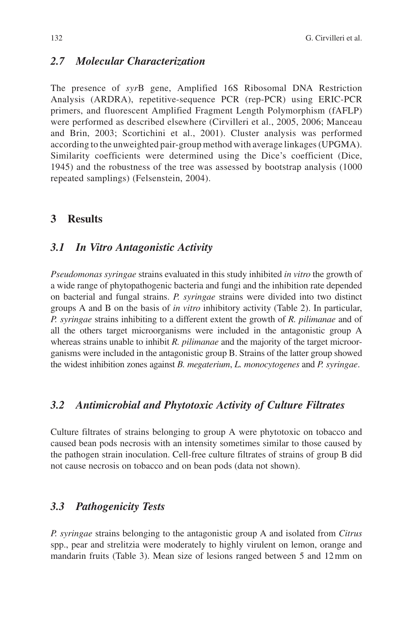#### *2.7 Molecular Characterization*

The presence of *syr*B gene, Amplified 16S Ribosomal DNA Restriction Analysis (ARDRA), repetitive-sequence PCR (rep-PCR) using ERIC-PCR primers, and fluorescent Amplified Fragment Length Polymorphism (fAFLP) were performed as described elsewhere (Cirvilleri et al., 2005, 2006; Manceau and Brin, 2003; Scortichini et al., 2001). Cluster analysis was performed according to the unweighted pair-group method with average linkages (UPGMA). Similarity coefficients were determined using the Dice's coefficient (Dice, 1945) and the robustness of the tree was assessed by bootstrap analysis (1000 repeated samplings) (Felsenstein, 2004).

#### **3 Results**

#### *3.1 In Vitro Antagonistic Activity*

*Pseudomonas syringae* strains evaluated in this study inhibited *in vitro* the growth of a wide range of phytopathogenic bacteria and fungi and the inhibition rate depended on bacterial and fungal strains. *P. syringae* strains were divided into two distinct groups A and B on the basis of *in vitro* inhibitory activity (Table 2). In particular, *P. syringae* strains inhibiting to a different extent the growth of *R. pilimanae* and of all the others target microorganisms were included in the antagonistic group A whereas strains unable to inhibit *R. pilimanae* and the majority of the target microorganisms were included in the antagonistic group B. Strains of the latter group showed the widest inhibition zones against *B. megaterium*, *L. monocytogenes* and *P. syringae*.

## *3.2 Antimicrobial and Phytotoxic Activity of Culture Filtrates*

Culture filtrates of strains belonging to group A were phytotoxic on tobacco and caused bean pods necrosis with an intensity sometimes similar to those caused by the pathogen strain inoculation. Cell-free culture filtrates of strains of group B did not cause necrosis on tobacco and on bean pods (data not shown).

## *3.3 Pathogenicity Tests*

*P. syringae* strains belonging to the antagonistic group A and isolated from *Citrus* spp., pear and strelitzia were moderately to highly virulent on lemon, orange and mandarin fruits (Table 3). Mean size of lesions ranged between 5 and 12 mm on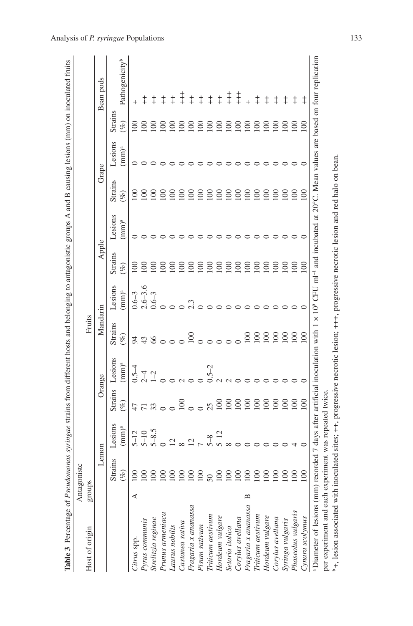| Table 3 Percentage of Pseudomonas syringae strains from different hosts and belonging to antagonistic groups A and B causing lesions (mm) on inoculated fruits             |        | Antagonistc |                       |                |                |                |                      |                  |          |                  |          |                  |                            |
|----------------------------------------------------------------------------------------------------------------------------------------------------------------------------|--------|-------------|-----------------------|----------------|----------------|----------------|----------------------|------------------|----------|------------------|----------|------------------|----------------------------|
| Host of origin                                                                                                                                                             | groups |             |                       |                |                | Fruits         |                      |                  |          |                  |          |                  |                            |
|                                                                                                                                                                            |        | Lemon       |                       |                | Orange         | Mandarin       |                      | Apple            |          | Grape            |          |                  | Bean pods                  |
|                                                                                                                                                                            |        | Strains     | Lesions               | Strains        | Lesions        | Strains        | Lesions              | Strains          | Lesions  | Strains          | Lesions  | Strains          |                            |
|                                                                                                                                                                            |        | 96)         | $(mm)^a$              | $(\%)$         | $(mm)^a$       | $(\%)$         | $(mm)^a$             | $(\%)$           | $(mm)^a$ | $(\%)$           | $(mm)^a$ | $(\%)$           | Pathogenicity <sup>b</sup> |
| Citrus spp.                                                                                                                                                                |        | 8           | $5 - 12$              | $\pm$          | $0.5 - 4$      | $\overline{5}$ | $0.6 - 3$            | $\Xi$            |          |                  |          | $\Xi$            |                            |
| Pyrus communis                                                                                                                                                             |        | $\infty$    | $5 - 10$<br>$5 - 8.5$ | $\frac{1}{2}$  | $\overline{1}$ | 43             |                      | $\Xi$            |          | $\overline{0}$   |          | $\overline{5}$   |                            |
| Strelitzia reginae                                                                                                                                                         |        | $\infty$    |                       |                | $1 - 2$        | 66             | $2.6 - 3.6$<br>0.6-3 | $\overline{0}$   |          | $\overline{8}$   |          | $\overline{0}$   |                            |
| Prunus armeniaca                                                                                                                                                           |        | $\infty$    |                       |                |                |                |                      | $\Xi$            |          | $\overline{\Xi}$ |          | $\overline{5}$   | $\ddagger$                 |
| Laurus nobilis                                                                                                                                                             |        | $\infty$    | $\overline{c}$        |                |                |                |                      | $\overline{0}$   |          | $\Xi$            |          | $\overline{0}$   | $\ddagger$                 |
| Castanea sativa                                                                                                                                                            |        | 8           | $\infty$              |                |                |                |                      | $\overline{5}$   |          | $\Xi$            |          | $\overline{5}$   | $_+^+$                     |
| Fragaria x ananassa                                                                                                                                                        |        | 8           | $\overline{C}$        |                |                |                |                      | $\Xi$            |          | $\overline{\Xi}$ |          | $\approx$        | $\ddagger$                 |
| Pisum sativum                                                                                                                                                              |        | 8           |                       |                |                |                |                      | $\overline{0}$   |          | $\approx$        |          | $\overline{100}$ | $\ddagger$                 |
|                                                                                                                                                                            |        |             | $5 - 8$<br>$5 - 12$   | 25             |                |                |                      | $\overline{5}$   |          | $\overline{5}$   |          | $\approx$        | $\ddagger$                 |
| Triticum aestivum<br>Hordeum vulgare                                                                                                                                       |        | 8           |                       | $\overline{8}$ |                |                |                      | $\Xi$            |          | $\overline{5}$   |          | $\approx$        | $\ddagger$                 |
| Setaria italica                                                                                                                                                            |        | $\infty$    |                       | $\approx$      |                |                |                      | $\geq$           |          | $\geq$           |          | 100              | $\ddagger$                 |
| Corylus avellana                                                                                                                                                           |        | 88          |                       | $\overline{5}$ |                |                |                      | $\overline{100}$ |          | 100              |          | $\overline{5}$   | $\ddagger$                 |
| Fragaria x ananassa                                                                                                                                                        |        |             |                       | $\overline{8}$ |                | $\overline{5}$ |                      | $\Xi$            |          | 100              | ○        | $\overline{5}$   |                            |
| Triticum aestivum                                                                                                                                                          |        | $\infty$    |                       | $\overline{8}$ |                | 100            |                      | $\Xi$            |          | 100              | $\circ$  | $\approx$        | $\ddagger$                 |
| Hordeum vulgare                                                                                                                                                            |        | $\infty$    |                       | $\epsilon$     |                | $\geq$         |                      | $\Xi$            |          | 100              |          | $\geq$           | $\ddagger$                 |
| Corylus avellana                                                                                                                                                           |        | $\infty$    |                       | $\overline{8}$ |                | $\geq$         | $\circ$              | $\Xi$            |          | 100              | $\circ$  | $\overline{5}$   | $\ddagger$                 |
| Syringa vulgaris                                                                                                                                                           |        | $\infty$    |                       | $\overline{8}$ |                | $\geq$         | $\circ$              | $\overline{0}$   |          | 100              | $\circ$  | $\approx$        | $\ddagger$                 |
| Phaseolus vulgaris                                                                                                                                                         |        | $\infty$    |                       | $\epsilon$     |                | $\geq$         | $\circ$              | $\geq$           |          | $\overline{0}$   |          | $\approx$        | $\ddagger$                 |
| Cynara scolymus                                                                                                                                                            |        | 8           |                       | $\approx$      |                | $\infty$       | $\circ$              | $\approx$        |          | 100              |          | $\Xi$            | $\ddagger$                 |
| a Diameter of lesions (mm) recorded 7 days after artificial inoculation with 1 x 10° CFU ml <sup>-1</sup> and incubated at 20°C. Mean values are based on four replication |        |             |                       |                |                |                |                      |                  |          |                  |          |                  |                            |
| per experiment and each experiment was repeated twice.                                                                                                                     |        |             |                       |                |                |                |                      |                  |          |                  |          |                  |                            |
| $+$ , lesion associated with inoculated sites; $++$ , progressive necrotic lesion; $++$ , progressive necrotic lesion and red halo on bean.                                |        |             |                       |                |                |                |                      |                  |          |                  |          |                  |                            |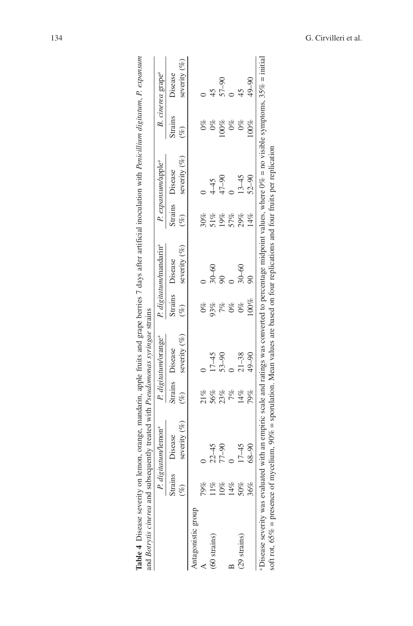| $(\%)$<br>severity $(\%)$<br>Strains Disease | P. digitatum/mandarini          |        | P. expansum/apple <sup>®</sup>     |                   | B. cinerea grape <sup>a</sup>                                                                                                                                     |
|----------------------------------------------|---------------------------------|--------|------------------------------------|-------------------|-------------------------------------------------------------------------------------------------------------------------------------------------------------------|
|                                              | severity (%)<br>Strains Disease | $(\%)$ | severity $(\%)$<br>Strains Disease | Strains<br>$(\%)$ | severity $(\%)$<br>Disease                                                                                                                                        |
|                                              |                                 |        |                                    |                   |                                                                                                                                                                   |
| $0\%$                                        |                                 | 30%    |                                    |                   |                                                                                                                                                                   |
| 93%<br>$17-45$                               | $30 - 60$                       |        | $\frac{1}{45}$                     |                   | $\frac{1}{2}$                                                                                                                                                     |
| 7%<br>$53 - 90$                              |                                 | 19%    | $-90$                              | $0\%$             | $06 - 29$                                                                                                                                                         |
| $0\%$                                        |                                 | 57%    |                                    | $0\%$             |                                                                                                                                                                   |
| $0\%$<br>$21 - 38$                           | 30–60                           | 29%    | $13 - 45$                          | $0\%$             |                                                                                                                                                                   |
| $00\%$<br>$49 - 90$                          |                                 | 14%    | $52 - 90$                          | 00%               | $49 - 90$                                                                                                                                                         |
|                                              |                                 |        |                                    |                   | Disease severity was evaluated with an empiric scale and ratings was converted to percentage midpoint values, where $0\%$ = no visible symptoms, $35\%$ = initial |

| Ì<br>i<br>i<br>ł<br>ì<br>i                                             |                                                                                                                               |
|------------------------------------------------------------------------|-------------------------------------------------------------------------------------------------------------------------------|
| Í<br>į<br>l<br>ו<br>ו<br>í<br>Ş<br>ļ                                   | Í<br>l<br>j<br>$\frac{1}{2}$<br>ļ<br>ī<br>ׇ֚֚֕                                                                                |
| ׇׅ֘֝<br>۱<br>i<br>i<br>ļ<br>ł<br>$\overline{\phantom{a}}$<br>١<br>able | ֖֖֖֖֖֖֧֖֖֧֪֪ׅ֖֧֪֪֪֪֪֪֪֪֪֪֪֪֪֧֚֚֚֚֚֚֚֚֚֚֚֚֚֚֚֚֚֚֚֚֚֚֚֚֚֬֝֝֓֝֓<br>j<br>j<br>j<br>ì<br>₹<br>i<br>į<br>i<br>١<br>ļ<br>l<br>į<br>3 |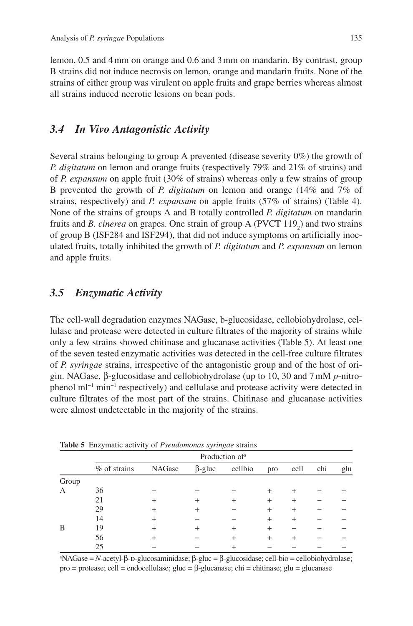lemon, 0.5 and 4 mm on orange and 0.6 and 3 mm on mandarin. By contrast, group B strains did not induce necrosis on lemon, orange and mandarin fruits. None of the strains of either group was virulent on apple fruits and grape berries whereas almost all strains induced necrotic lesions on bean pods.

#### *3.4 In Vivo Antagonistic Activity*

Several strains belonging to group A prevented (disease severity 0%) the growth of *P. digitatum* on lemon and orange fruits (respectively 79% and 21% of strains) and of *P. expansum* on apple fruit (30% of strains) whereas only a few strains of group B prevented the growth of *P. digitatum* on lemon and orange (14% and 7% of strains, respectively) and *P. expansum* on apple fruits (57% of strains) (Table 4). None of the strains of groups A and B totally controlled *P. digitatum* on mandarin fruits and *B. cinerea* on grapes. One strain of group A  $(PVCT 119<sub>2</sub>)$  and two strains of group B (ISF284 and ISF294), that did not induce symptoms on artificially inoculated fruits, totally inhibited the growth of *P. digitatum* and *P. expansum* on lemon and apple fruits.

#### *3.5 Enzymatic Activity*

The cell-wall degradation enzymes NAGase, b-glucosidase, cellobiohydrolase, cellulase and protease were detected in culture filtrates of the majority of strains while only a few strains showed chitinase and glucanase activities (Table 5). At least one of the seven tested enzymatic activities was detected in the cell-free culture filtrates of *P. syringae* strains, irrespective of the antagonistic group and of the host of origin. NAGase, β-glucosidase and cellobiohydrolase (up to 10, 30 and 7 mM *p*-nitrophenol ml−1 min−1 respectively) and cellulase and protease activity were detected in culture filtrates of the most part of the strains. Chitinase and glucanase activities were almost undetectable in the majority of the strains.

|       | $\checkmark$ |        | $\tilde{\phantom{a}}$ | $\sim$                     |            |      |     |     |
|-------|--------------|--------|-----------------------|----------------------------|------------|------|-----|-----|
|       |              |        |                       | Production of <sup>a</sup> |            |      |     |     |
|       | % of strains | NAGase | $\beta$ -gluc         | cellbio                    | pro        | cell | chi | glu |
| Group |              |        |                       |                            |            |      |     |     |
| А     | 36           |        |                       |                            |            |      |     |     |
|       | 21           |        |                       |                            | ┿          |      |     |     |
|       | 29           | ٠      |                       |                            | $\hbox{ }$ | ÷    |     |     |
|       | 14           |        |                       |                            | ┿          |      |     |     |
| B     | 19           |        |                       |                            | ٠          |      |     |     |
|       | 56           |        |                       |                            |            |      |     |     |
|       | 25           |        |                       |                            |            |      |     |     |

**Table 5** Enzymatic activity of *Pseudomonas syringae* strains

<sup>a</sup>NAGase = *N*-acetyl-β-D-glucosaminidase; β-gluc = β-glucosidase; cell-bio = cellobiohydrolase; pro = protease; cell = endocellulase; gluc = β-glucanase; chi = chitinase; glu = glucanase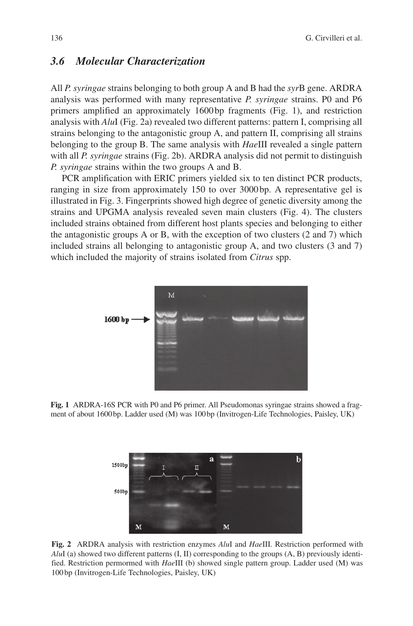## *3.6 Molecular Characterization*

All *P. syringae* strains belonging to both group A and B had the *syr*B gene. ARDRA analysis was performed with many representative *P. syringae* strains. P0 and P6 primers amplified an approximately 1600 bp fragments (Fig. 1), and restriction analysis with *Alu*I (Fig. 2a) revealed two different patterns: pattern I, comprising all strains belonging to the antagonistic group A, and pattern II, comprising all strains belonging to the group B. The same analysis with *Hae*III revealed a single pattern with all *P. syringae* strains (Fig. 2b). ARDRA analysis did not permit to distinguish *P. syringae* strains within the two groups A and B.

PCR amplification with ERIC primers yielded six to ten distinct PCR products, ranging in size from approximately 150 to over 3000 bp. A representative gel is illustrated in Fig. 3. Fingerprints showed high degree of genetic diversity among the strains and UPGMA analysis revealed seven main clusters (Fig. 4). The clusters included strains obtained from different host plants species and belonging to either the antagonistic groups A or B, with the exception of two clusters (2 and 7) which included strains all belonging to antagonistic group A, and two clusters (3 and 7) which included the majority of strains isolated from *Citrus* spp.



**Fig. 1** ARDRA-16S PCR with P0 and P6 primer. All Pseudomonas syringae strains showed a fragment of about 1600 bp. Ladder used (M) was 100 bp (Invitrogen-Life Technologies, Paisley, UK)



**Fig. 2** ARDRA analysis with restriction enzymes *Alu*I and *Hae*III. Restriction performed with *Alu*I (a) showed two different patterns (I, II) corresponding to the groups (A, B) previously identified. Restriction permormed with *Hae*III (b) showed single pattern group. Ladder used (M) was 100 bp (Invitrogen-Life Technologies, Paisley, UK)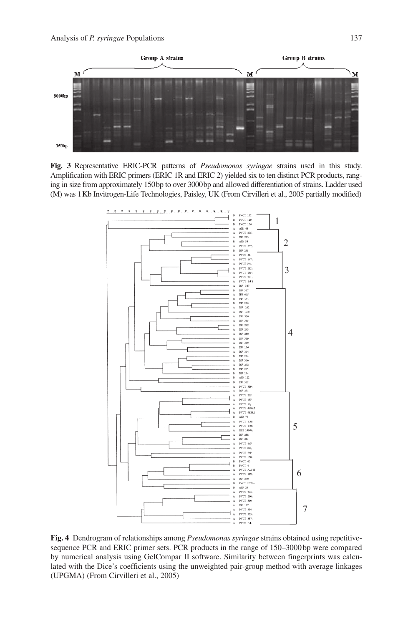

**Fig. 3** Representative ERIC-PCR patterns of *Pseudomonas syringae* strains used in this study. Amplification with ERIC primers (ERIC 1R and ERIC 2) yielded six to ten distinct PCR products, ranging in size from approximately 150 bp to over 3000 bp and allowed differentiation of strains. Ladder used (M) was 1 Kb Invitrogen-Life Technologies, Paisley, UK (From Cirvilleri et al., 2005 partially modified)



**Fig. 4** Dendrogram of relationships among *Pseudomonas syringae* strains obtained using repetitivesequence PCR and ERIC primer sets. PCR products in the range of 150–3000 bp were compared by numerical analysis using GelCompar II software. Similarity between fingerprints was calculated with the Dice's coefficients using the unweighted pair-group method with average linkages (UPGMA) (From Cirvilleri et al., 2005)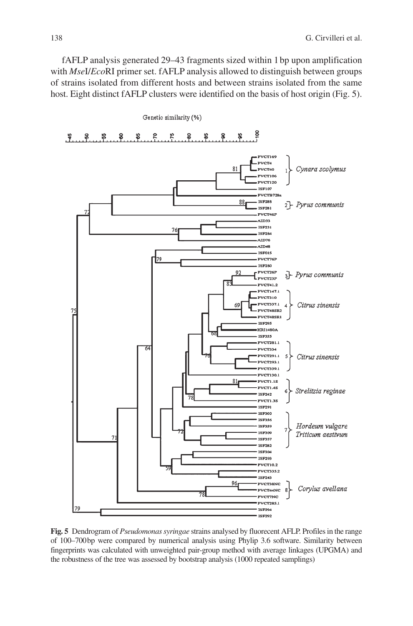fAFLP analysis generated 29–43 fragments sized within 1 bp upon amplification with *Mse*I/*Eco*RI primer set. fAFLP analysis allowed to distinguish between groups of strains isolated from different hosts and between strains isolated from the same host. Eight distinct fAFLP clusters were identified on the basis of host origin (Fig. 5).



**Fig. 5** Dendrogram of *Pseudomonas syringae* strains analysed by fluorecent AFLP. Profiles in the range of 100–700 bp were compared by numerical analysis using Phylip 3.6 software. Similarity between fingerprints was calculated with unweighted pair-group method with average linkages (UPGMA) and the robustness of the tree was assessed by bootstrap analysis (1000 repeated samplings)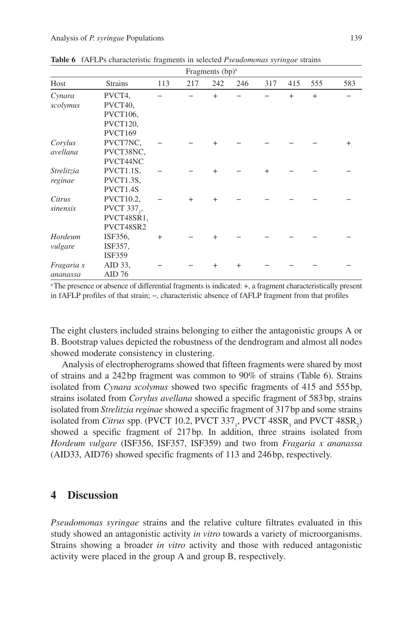|                   |                 |     |     | Fragments $(bp)^a$ |           |           |        |     |     |
|-------------------|-----------------|-----|-----|--------------------|-----------|-----------|--------|-----|-----|
| Host              | <b>Strains</b>  | 113 | 217 | 242                | 246       | 317       | 415    | 555 | 583 |
| Cynara            | PVCT4,          |     |     | $+$                |           |           | $^{+}$ | $+$ |     |
| scolymus          | PVCT40,         |     |     |                    |           |           |        |     |     |
|                   | <b>PVCT106,</b> |     |     |                    |           |           |        |     |     |
|                   | PVCT120,        |     |     |                    |           |           |        |     |     |
|                   | PVCT169         |     |     |                    |           |           |        |     |     |
| Corylus           | PVCT7NC,        |     |     | $^{+}$             |           |           |        |     |     |
| avellana          | PVCT38NC,       |     |     |                    |           |           |        |     |     |
|                   | PVCT44NC        |     |     |                    |           |           |        |     |     |
| <i>Strelitzia</i> | PVCT1.1S,       |     |     | $^{+}$             |           | $\ddot{}$ |        |     |     |
| reginae           | PVCT1.3S,       |     |     |                    |           |           |        |     |     |
|                   | PVCT1.4S        |     |     |                    |           |           |        |     |     |
| Citrus            | PVCT10.2,       |     | $+$ | $\ddot{}$          |           |           |        |     |     |
| sinensis          | PVCT 337,       |     |     |                    |           |           |        |     |     |
|                   | PVCT48SR1,      |     |     |                    |           |           |        |     |     |
|                   | PVCT48SR2       |     |     |                    |           |           |        |     |     |
| Hordeum           | ISF356,         | $+$ |     | $^{+}$             |           |           |        |     |     |
| vulgare           | ISF357,         |     |     |                    |           |           |        |     |     |
|                   | ISF359          |     |     |                    |           |           |        |     |     |
| Fragaria x        | AID 33,         |     |     | $\ddot{}$          | $\ddot{}$ |           |        |     |     |
| ananassa          | AID 76          |     |     |                    |           |           |        |     |     |

**Table 6** fAFLPs characteristic fragments in selected *Pseudomonas syringae* strains

a The presence or absence of differential fragments is indicated: +, a fragment characteristically present in fAFLP profiles of that strain; −, characteristic absence of fAFLP fragment from that profiles

The eight clusters included strains belonging to either the antagonistic groups A or B. Bootstrap values depicted the robustness of the dendrogram and almost all nodes showed moderate consistency in clustering.

Analysis of electropherograms showed that fifteen fragments were shared by most of strains and a 242 bp fragment was common to 90% of strains (Table 6). Strains isolated from *Cynara scolymus* showed two specific fragments of 415 and 555 bp, strains isolated from *Corylus avellana* showed a specific fragment of 583 bp, strains isolated from *Strelitzia reginae* showed a specific fragment of 317 bp and some strains isolated from *Citrus* spp. (PVCT 10.2, PVCT 337<sub>1</sub>, PVCT 48SR<sub>1</sub> and PVCT 48SR<sub>2</sub>) showed a specific fragment of 217 bp. In addition, three strains isolated from *Hordeum vulgare* (ISF356, ISF357, ISF359) and two from *Fragaria x ananassa* (AID33, AID76) showed specific fragments of 113 and 246 bp, respectively.

## **4 Discussion**

*Pseudomonas syringae* strains and the relative culture filtrates evaluated in this study showed an antagonistic activity *in vitro* towards a variety of microorganisms. Strains showing a broader *in vitro* activity and those with reduced antagonistic activity were placed in the group A and group B, respectively.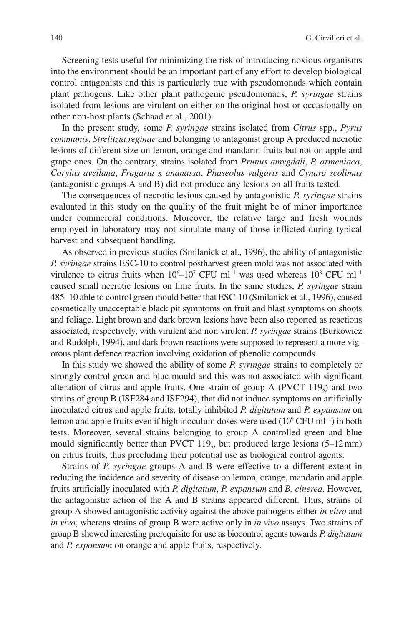Screening tests useful for minimizing the risk of introducing noxious organisms into the environment should be an important part of any effort to develop biological control antagonists and this is particularly true with pseudomonads which contain plant pathogens. Like other plant pathogenic pseudomonads, *P. syringae* strains isolated from lesions are virulent on either on the original host or occasionally on other non-host plants (Schaad et al., 2001).

In the present study, some *P. syringae* strains isolated from *Citrus* spp., *Pyrus communis*, *Strelitzia reginae* and belonging to antagonist group A produced necrotic lesions of different size on lemon, orange and mandarin fruits but not on apple and grape ones. On the contrary, strains isolated from *Prunus amygdali*, *P. armeniaca*, *Corylus avellana*, *Fragaria* x *ananassa*, *Phaseolus vulgaris* and *Cynara scolimus* (antagonistic groups A and B) did not produce any lesions on all fruits tested.

The consequences of necrotic lesions caused by antagonistic *P. syringae* strains evaluated in this study on the quality of the fruit might be of minor importance under commercial conditions. Moreover, the relative large and fresh wounds employed in laboratory may not simulate many of those inflicted during typical harvest and subsequent handling.

As observed in previous studies (Smilanick et al., 1996), the ability of antagonistic *P. syringae* strains ESC-10 to control postharvest green mold was not associated with virulence to citrus fruits when  $10^6$ – $10^7$  CFU ml<sup>-1</sup> was used whereas  $10^8$  CFU ml<sup>-1</sup> caused small necrotic lesions on lime fruits. In the same studies, *P. syringae* strain 485–10 able to control green mould better that ESC-10 (Smilanick et al., 1996), caused cosmetically unacceptable black pit symptoms on fruit and blast symptoms on shoots and foliage. Light brown and dark brown lesions have been also reported as reactions associated, respectively, with virulent and non virulent *P. syringae* strains (Burkowicz and Rudolph, 1994), and dark brown reactions were supposed to represent a more vigorous plant defence reaction involving oxidation of phenolic compounds.

In this study we showed the ability of some *P. syringae* strains to completely or strongly control green and blue mould and this was not associated with significant alteration of citrus and apple fruits. One strain of group  $A$  (PVCT  $119_2$ ) and two strains of group B (ISF284 and ISF294), that did not induce symptoms on artificially inoculated citrus and apple fruits, totally inhibited *P. digitatum* and *P. expansum* on lemon and apple fruits even if high inoculum doses were used (10<sup>9</sup> CFU ml<sup>-1</sup>) in both tests. Moreover, several strains belonging to group A controlled green and blue mould significantly better than PVCT  $119<sub>2</sub>$ , but produced large lesions (5–12 mm) on citrus fruits, thus precluding their potential use as biological control agents.

Strains of *P. syringae* groups A and B were effective to a different extent in reducing the incidence and severity of disease on lemon, orange, mandarin and apple fruits artificially inoculated with *P. digitatum*, *P. expansum* and *B. cinerea*. However, the antagonistic action of the A and B strains appeared different. Thus, strains of group A showed antagonistic activity against the above pathogens either *in vitro* and *in vivo*, whereas strains of group B were active only in *in vivo* assays. Two strains of group B showed interesting prerequisite for use as biocontrol agents towards *P. digitatum* and *P. expansum* on orange and apple fruits, respectively.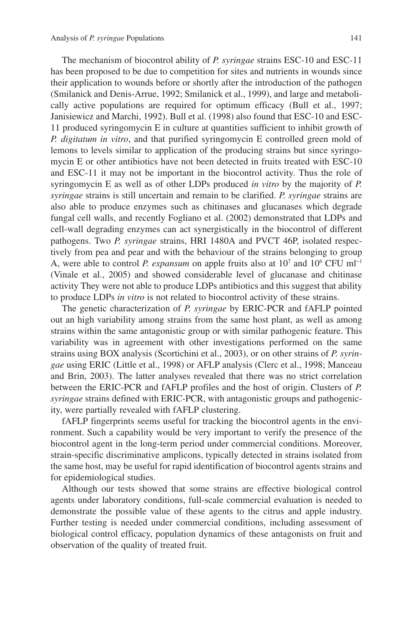The mechanism of biocontrol ability of *P. syringae* strains ESC-10 and ESC-11 has been proposed to be due to competition for sites and nutrients in wounds since their application to wounds before or shortly after the introduction of the pathogen (Smilanick and Denis-Arrue, 1992; Smilanick et al., 1999), and large and metabolically active populations are required for optimum efficacy (Bull et al., 1997; Janisiewicz and Marchi, 1992). Bull et al. (1998) also found that ESC-10 and ESC-11 produced syringomycin E in culture at quantities sufficient to inhibit growth of *P. digitatum in vitro*, and that purified syringomycin E controlled green mold of lemons to levels similar to application of the producing strains but since syringomycin E or other antibiotics have not been detected in fruits treated with ESC-10 and ESC-11 it may not be important in the biocontrol activity. Thus the role of syringomycin E as well as of other LDPs produced *in vitro* by the majority of *P. syringae* strains is still uncertain and remain to be clarified. *P. syringae* strains are also able to produce enzymes such as chitinases and glucanases which degrade fungal cell walls, and recently Fogliano et al. (2002) demonstrated that LDPs and cell-wall degrading enzymes can act synergistically in the biocontrol of different pathogens. Two *P. syringae* strains, HRI 1480A and PVCT 46P, isolated respectively from pea and pear and with the behaviour of the strains belonging to group A, were able to control *P. expansum* on apple fruits also at 10<sup>7</sup> and 10<sup>6</sup> CFU ml<sup>-1</sup> (Vinale et al., 2005) and showed considerable level of glucanase and chitinase activity They were not able to produce LDPs antibiotics and this suggest that ability to produce LDPs *in vitro* is not related to biocontrol activity of these strains.

The genetic characterization of *P. syringae* by ERIC-PCR and fAFLP pointed out an high variability among strains from the same host plant, as well as among strains within the same antagonistic group or with similar pathogenic feature. This variability was in agreement with other investigations performed on the same strains using BOX analysis (Scortichini et al., 2003), or on other strains of *P. syringae* using ERIC (Little et al., 1998) or AFLP analysis (Clerc et al., 1998; Manceau and Brin, 2003). The latter analyses revealed that there was no strict correlation between the ERIC-PCR and fAFLP profiles and the host of origin. Clusters of *P. syringae* strains defined with ERIC-PCR, with antagonistic groups and pathogenicity, were partially revealed with fAFLP clustering.

fAFLP fingerprints seems useful for tracking the biocontrol agents in the environment. Such a capability would be very important to verify the presence of the biocontrol agent in the long-term period under commercial conditions. Moreover, strain-specific discriminative amplicons, typically detected in strains isolated from the same host, may be useful for rapid identification of biocontrol agents strains and for epidemiological studies.

Although our tests showed that some strains are effective biological control agents under laboratory conditions, full-scale commercial evaluation is needed to demonstrate the possible value of these agents to the citrus and apple industry. Further testing is needed under commercial conditions, including assessment of biological control efficacy, population dynamics of these antagonists on fruit and observation of the quality of treated fruit.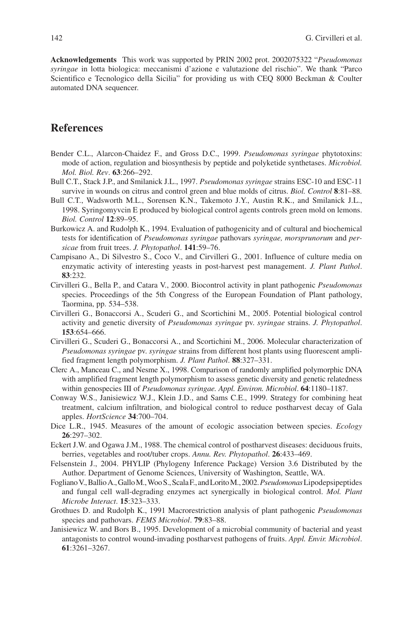**Acknowledgements** This work was supported by PRIN 2002 prot. 2002075322 "*Pseudomonas syringae* in lotta biologica: meccanismi d'azione e valutazione del rischio". We thank "Parco Scientifico e Tecnologico della Sicilia" for providing us with CEQ 8000 Beckman & Coulter automated DNA sequencer.

## **References**

- Bender C.L., Alarcon-Chaidez F., and Gross D.C., 1999. *Pseudomonas syringae* phytotoxins: mode of action, regulation and biosynthesis by peptide and polyketide synthetases. *Microbiol. Mol. Biol. Rev*. **63**:266–292.
- Bull C.T., Stack J.P., and Smilanick J.L., 1997. *Pseudomonas syringae* strains ESC-10 and ESC-11 survive in wounds on citrus and control green and blue molds of citrus. *Biol. Control* **8**:81–88.
- Bull C.T., Wadsworth M.L., Sorensen K.N., Takemoto J.Y., Austin R.K., and Smilanick J.L., 1998. Syringomyvcin E produced by biological control agents controls green mold on lemons. *Biol. Control* **12**:89–95.
- Burkowicz A. and Rudolph K., 1994. Evaluation of pathogenicity and of cultural and biochemical tests for identification of *Pseudomonas syringae* pathovars *syringae, morsprunorum* and *persicae* from fruit trees. *J. Phytopathol*. **141**:59–76.
- Campisano A., Di Silvestro S., Coco V., and Cirvilleri G., 2001. Influence of culture media on enzymatic activity of interesting yeasts in post-harvest pest management. *J. Plant Pathol*. **83**:232.
- Cirvilleri G., Bella P., and Catara V., 2000. Biocontrol activity in plant pathogenic *Pseudomonas* species. Proceedings of the 5th Congress of the European Foundation of Plant pathology, Taormina, pp. 534–538.
- Cirvilleri G., Bonaccorsi A., Scuderi G., and Scortichini M., 2005. Potential biological control activity and genetic diversity of *Pseudomonas syringae* pv. *syringae* strains. *J. Phytopathol*. **153**:654–666.
- Cirvilleri G., Scuderi G., Bonaccorsi A., and Scortichini M., 2006. Molecular characterization of *Pseudomonas syringae* pv. *syringae* strains from different host plants using fluorescent amplified fragment length polymorphism. *J. Plant Pathol*. **88**:327–331.
- Clerc A., Manceau C., and Nesme X., 1998. Comparison of randomly amplified polymorphic DNA with amplified fragment length polymorphism to assess genetic diversity and genetic relatedness within genospecies III of *Pseudomonas syringae. Appl. Environ. Microbiol*. **64**:1180–1187.
- Conway W.S., Janisiewicz W.J., Klein J.D., and Sams C.E., 1999. Strategy for combining heat treatment, calcium infiltration, and biological control to reduce postharvest decay of Gala apples. *HortScience* **34**:700–704.
- Dice L.R., 1945. Measures of the amount of ecologic association between species. *Ecology* **26**:297–302.
- Eckert J.W. and Ogawa J.M., 1988. The chemical control of postharvest diseases: deciduous fruits, berries, vegetables and root/tuber crops. *Annu. Rev. Phytopathol*. **26**:433–469.
- Felsenstein J., 2004. PHYLIP (Phylogeny Inference Package) Version 3.6 Distributed by the Author. Department of Genome Sciences, University of Washington, Seattle, WA.
- Fogliano V., Ballio A., Gallo M., Woo S., Scala F., and Lorito M., 2002. *Pseudomonas* Lipodepsipeptides and fungal cell wall-degrading enzymes act synergically in biological control. *Mol. Plant Microbe Interact*. **15**:323–333.
- Grothues D. and Rudolph K., 1991 Macrorestriction analysis of plant pathogenic *Pseudomonas* species and pathovars. *FEMS Microbiol*. **79**:83–88.
- Janisiewicz W. and Bors B., 1995. Development of a microbial community of bacterial and yeast antagonists to control wound-invading postharvest pathogens of fruits. *Appl. Envir. Microbiol*. **61**:3261–3267.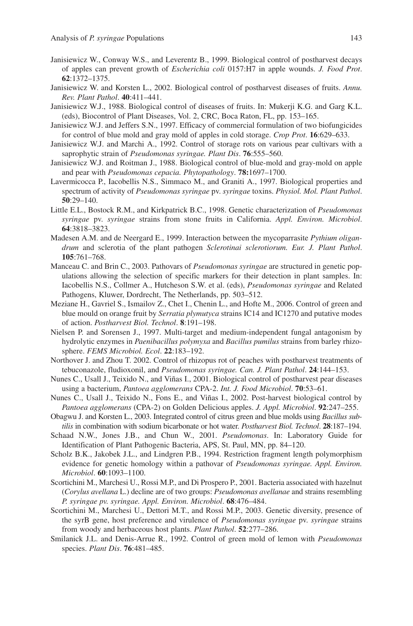- Janisiewicz W., Conway W.S., and Leverentz B., 1999. Biological control of postharvest decays of apples can prevent growth of *Escherichia coli* 0157:H7 in apple wounds. *J. Food Prot*. **62**:1372–1375.
- Janisiewicz W. and Korsten L., 2002. Biological control of postharvest diseases of fruits. *Annu. Rev. Plant Pathol*. **40**:411–441.
- Janisiewicz W.J., 1988. Biological control of diseases of fruits. In: Mukerji K.G. and Garg K.L. (eds), Biocontrol of Plant Diseases, Vol. 2, CRC, Boca Raton, FL, pp. 153–165.
- Janisiewicz W.J. and Jeffers S.N., 1997. Efficacy of commercial formulation of two biofungicides for control of blue mold and gray mold of apples in cold storage. *Crop Prot*. **16**:629–633.
- Janisiewicz W.J. and Marchi A., 1992. Control of storage rots on various pear cultivars with a saprophytic strain of *Pseudomonas syringae. Plant Dis*. **76**:555–560.
- Janisiewicz W.J. and Roitman J., 1988. Biological control of blue-mold and gray-mold on apple and pear with *Pseudomonas cepacia. Phytopathology*. **78:**1697–1700.
- Lavermicocca P., Iacobellis N.S., Simmaco M., and Graniti A., 1997. Biological properties and spectrum of activity of *Pseudomonas syringae* pv. *syringae* toxins. *Physiol. Mol. Plant Pathol*. **50**:29–140.
- Little E.L., Bostock R.M., and Kirkpatrick B.C., 1998. Genetic characterization of *Pseudomonas syringae* pv. *syringae* strains from stone fruits in California. *Appl. Environ. Microbiol*. **64**:3818–3823.
- Madesen A.M. and de Neergard E., 1999. Interaction between the mycoparrasite *Pythium oligandrum* and sclerotia of the plant pathogen *Sclerotinai sclerotiorum. Eur. J. Plant Pathol*. **105**:761–768.
- Manceau C. and Brin C., 2003. Pathovars of *Pseudomonas syringae* are structured in genetic populations allowing the selection of specific markers for their detection in plant samples. In: Iacobellis N.S., Collmer A., Hutcheson S.W. et al. (eds), *Pseudomonas syringae* and Related Pathogens, Kluwer, Dordrecht, The Netherlands, pp. 503–512.
- Meziane H., Gavriel S., Ismailov Z., Chet I., Chenin L., and Hofte M., 2006. Control of green and blue mould on orange fruit by *Serratia plymutyca* strains IC14 and IC1270 and putative modes of action. *Postharvest Biol. Technol*. **8**:191–198.
- Nielsen P. and Sorensen J., 1997. Multi-target and medium-independent fungal antagonism by hydrolytic enzymes in *Paenibacillus polymyxa* and *Bacillus pumilus* strains from barley rhizosphere. *FEMS Microbiol. Ecol*. **22**:183–192.
- Northover J. and Zhou T. 2002. Control of rhizopus rot of peaches with postharvest treatments of tebuconazole, fludioxonil, and *Pseudomonas syringae. Can. J. Plant Pathol*. **24**:144–153.
- Nunes C., Usall J., Teixido N., and Viñas I., 2001. Biological control of postharvest pear diseases using a bacterium, *Pantoea agglomerans* CPA-2. *Int. J. Food Microbiol*. **70**:53–61.
- Nunes C., Usall J., Teixido N., Fons E., and Viñas I., 2002. Post-harvest biological control by *Pantoea agglomerans* (CPA-2) on Golden Delicious apples. *J. Appl. Microbiol*. **92**:247–255.
- Obagwu J. and Korsten L., 2003. Integrated control of citrus green and blue molds using *Bacillus subtilis* in combination with sodium bicarbonate or hot water. *Postharvest Biol. Technol*. **28**:187–194.
- Schaad N.W., Jones J.B., and Chun W., 2001. *Pseudomonas*. In: Laboratory Guide for Identification of Plant Pathogenic Bacteria, APS, St. Paul, MN, pp. 84–120.
- Scholz B.K., Jakobek J.L., and Lindgren P.B., 1994. Restriction fragment length polymorphism evidence for genetic homology within a pathovar of *Pseudomonas syringae. Appl. Environ. Microbiol*. **60**:1093–1100.
- Scortichini M., Marchesi U., Rossi M.P., and Di Prospero P., 2001. Bacteria associated with hazelnut (*Corylus avellana* L.) decline are of two groups: *Pseudomonas avellanae* and strains resembling *P. syringae pv. syringae. Appl. Environ. Microbiol*. **68**:476–484.
- Scortichini M., Marchesi U., Dettori M.T., and Rossi M.P., 2003. Genetic diversity, presence of the syrB gene, host preference and virulence of *Pseudomonas syringae* pv. *syringae* strains from woody and herbaceous host plants. *Plant Pathol*. **52**:277–286.
- Smilanick J.L. and Denis-Arrue R., 1992. Control of green mold of lemon with *Pseudomonas* species. *Plant Dis*. **76**:481–485.